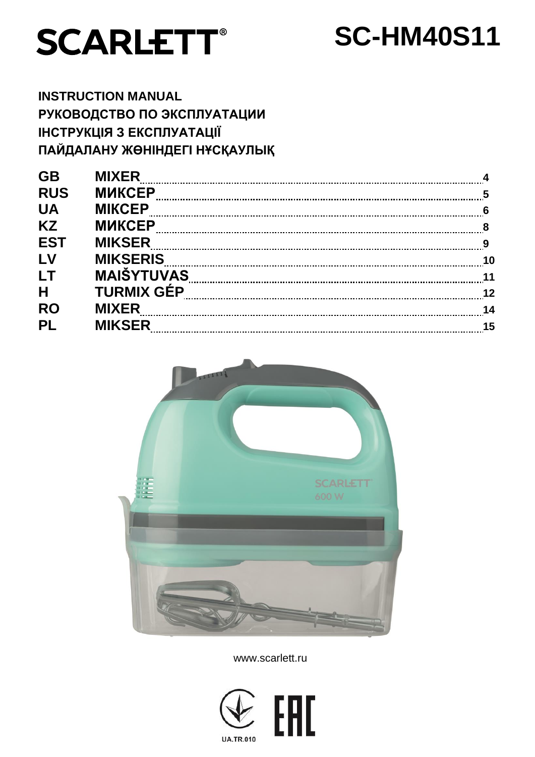

# **SC-HM40S11**

**INSTRUCTION MANUAL РУКОВОДСТВО ПО ЭКСПЛУАТАЦИИ ІНСТРУКЦІЯ З ЕКСПЛУАТАЦІЇ ПАЙДАЛАНУ ЖӨНІНДЕГІ НҰСҚАУЛЫҚ**

| <b>GB</b>  | <b>MIXER</b>      |    |
|------------|-------------------|----|
| <b>RUS</b> | <b>МИКСЕР</b>     |    |
| <b>UA</b>  | <b>MIKCEP</b>     |    |
| <b>KZ</b>  | <b>МИКСЕР</b>     |    |
| <b>EST</b> | <b>MIKSER</b>     |    |
| LV         | <b>MIKSERIS</b>   |    |
| LT         | <b>MAIŠYTUVAS</b> |    |
| H          | <b>TURMIX GÉP</b> | 12 |
| <b>RO</b>  | <b>MIXER</b>      |    |
| <b>PL</b>  | <b>MIKSER</b>     |    |
|            |                   |    |



www.scarlett.ru

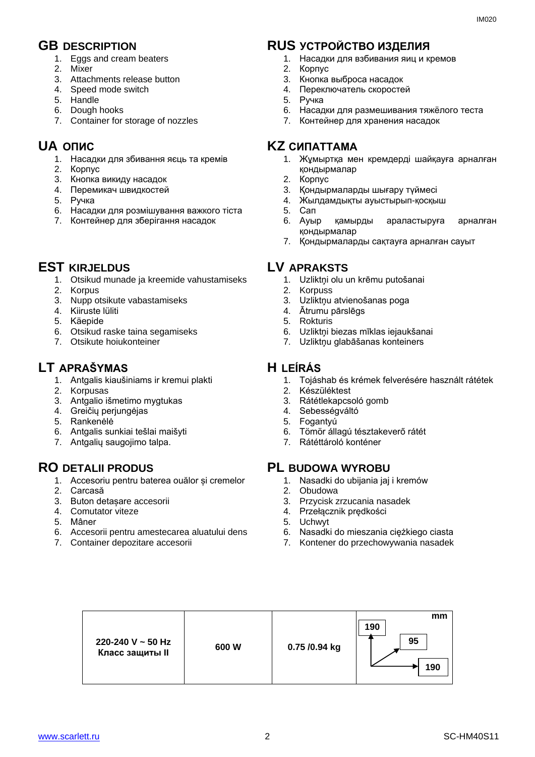- 1. Eggs and cream beaters
- 2. Mixer
- 3. Attachments release button
- 4. Speed mode switch
- 5. Handle
- 6. Dough hooks
- 7. Container for storage of nozzles

- 1. Насадки для збивання яєць та кремів
- 2. Корпус
- 3. Кнопка викиду насадок
- 4. Перемикач швидкостей
- 5. Ручка
- 6. Насадки для розмішування важкого тіста
- 7. Контейнер для зберігання насадок

# **EST KIRJELDUS LV APRAKSTS**

- 1. Otsikud munade ja kreemide vahustamiseks
- 2. Korpus
- 3. Nupp otsikute vabastamiseks
- 4. Kiiruste lüliti
- 5. Käepide
- 6. Otsikud raske taina segamiseks
- 7. Otsikute hoiukonteiner

# **LT APRAŠYMAS H LEÍRÁS**

- 1. Antgalis kiaušiniams ir kremui plakti
- 2. Korpusas
- 3. Antgalio išmetimo mygtukas
- 4. Greičių perjungėjas
- 5. Rankenėlė
- 6. Antgalis sunkiai tešlai maišyti
- 7. Antgalių saugojimo talpa.

- 1. Accesoriu pentru baterea ouălor și cremelor
- 2. Carcasă
- 3. Buton detașare accesorii
- 4. Comutator viteze
- 5. Mâner
- 6. Accesorii pentru amestecarea aluatului dens
- 7. Container depozitare accesorii

# **GB DESCRIPTION RUS УСТРОЙСТВО ИЗДЕЛИЯ**

- 1. Насадки для взбивания яиц и кремов
- 2. Корпус
- 3. Кнопка выброса насадок
- 4. Переключатель скоростей
- 5. Ручка
- 6. Насадки для размешивания тяжёлого теста
- 7. Контейнер для хранения насадок

# **UA ОПИС KZ СИПАТТАМА**

- 1. Жұмыртқа мен кремдерді шайқауға арналған қондырмалар
- 2. Корпус
- 3. Қондырмаларды шығару түймесі
- 4. Жылдамдықты ауыстырып-қосқыш
- 5. Сап
- 6. Ауыр қамырды араластыруға арналған қондырмалар
- 7. Қондырмаларды сақтауға арналған сауыт

- 1. Uzliktņi olu un krēmu putošanai
- 2. Korpuss
- 3. Uzliktņu atvienošanas poga
- 4. Ātrumu pārslēgs
- 5. Rokturis
- 6. Uzliktņi biezas mīklas iejaukšanai
- 7. Uzliktņu glabāšanas konteiners

- 1. Tojáshab és krémek felverésére használt rátétek
- 2. Készüléktest
- 3. Rátétlekapcsoló gomb
- 4. Sebességváltó
- 5. Fogantyú
- 6. Tömör állagú tésztakeverő rátét
- 7. Rátéttároló konténer

# **RO DETALII PRODUS PL BUDOWA WYROBU**

- 1. Nasadki do ubijania jaj i kremów
- 2. Obudowa
- 3. Przycisk zrzucania nasadek
- 4. Przełącznik prędkości
- 5. Uchwyt
- 6. Nasadki do mieszania ciężkiego ciasta
- 7. Kontener do przechowywania nasadek

| 220-240 V ~ 50 Hz<br><b>Класс защиты II</b> | 600W | 0.75 /0.94 kg | mm<br>190<br>95<br>190 |
|---------------------------------------------|------|---------------|------------------------|
|---------------------------------------------|------|---------------|------------------------|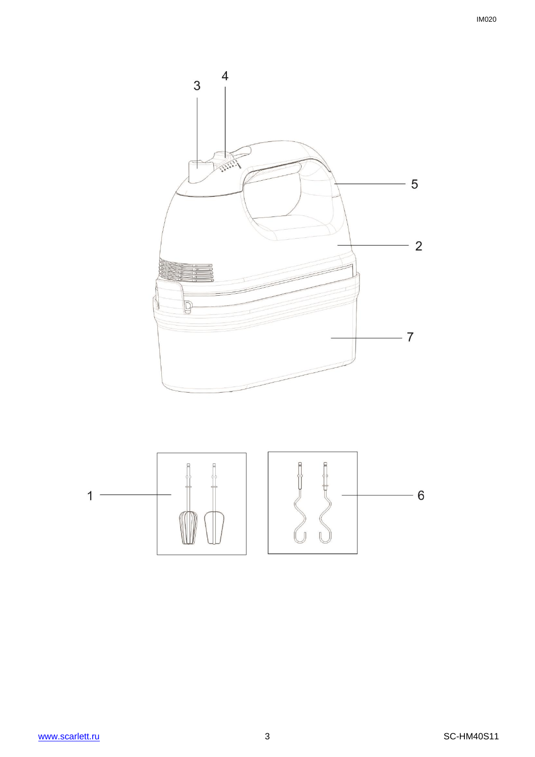$\overline{4}$  $\mathfrak{S}$  $-5$  $-2$  $\mathbb{D}$  $-7$ 

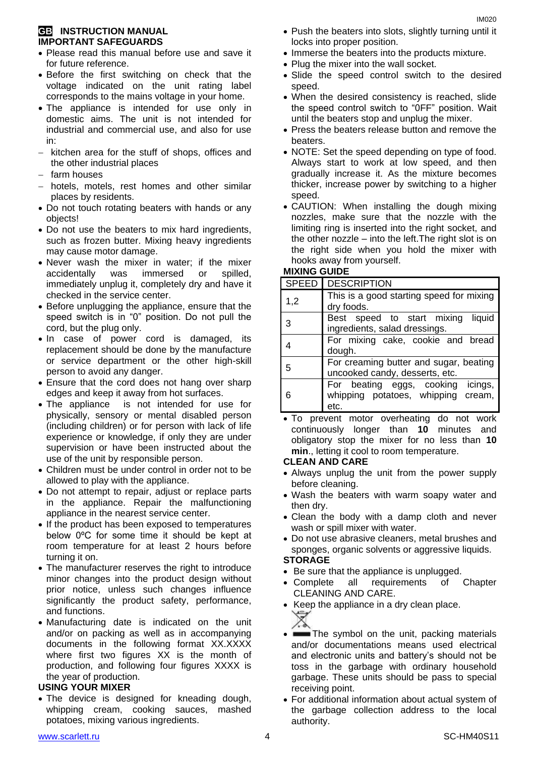#### **GB INSTRUCTION MANUAL IMPORTANT SAFEGUARDS**

- Please read this manual before use and save it for future reference.
- Before the first switching on check that the voltage indicated on the unit rating label corresponds to the mains voltage in your home.
- The appliance is intended for use only in domestic aims. The unit is not intended for industrial and commercial use, and also for use in:
- $-$  kitchen area for the stuff of shops, offices and the other industrial places
- $-$  farm houses
- hotels, motels, rest homes and other similar places by residents.
- Do not touch rotating beaters with hands or any objects!
- Do not use the beaters to mix hard ingredients, such as frozen butter. Mixing heavy ingredients may cause motor damage.
- Never wash the mixer in water; if the mixer accidentally was immersed or spilled, immediately unplug it, completely dry and have it checked in the service center.
- Before unplugging the appliance, ensure that the speed switch is in "0" position. Do not pull the cord, but the plug only.
- . In case of power cord is damaged, its replacement should be done by the manufacture or service department or the other high-skill person to avoid any danger.
- Ensure that the cord does not hang over sharp edges and keep it away from hot surfaces.
- The appliance is not intended for use for [physically, sensory or mental disabled](https://www.multitran.ru/c/m.exe?t=5841801_1_2&s1=%F7%E5%EB%EE%E2%E5%EA%20%F1%20%EE%E3%F0%E0%ED%E8%F7%E5%ED%ED%FB%EC%E8%20%E2%EE%E7%EC%EE%E6%ED%EE%F1%F2%FF%EC%E8) person (including children) or for person with lack of life experience or knowledge, if only they are under supervision or have been instructed about the use of the unit by responsible person.
- Children must be under control in order not to be allowed to play with the appliance.
- Do not attempt to repair, adjust or replace parts in the appliance. Repair the malfunctioning appliance in the nearest service center.
- If the product has been exposed to temperatures below 0ºC for some time it should be kept at room temperature for at least 2 hours before turning it on.
- The manufacturer reserves the right to introduce minor changes into the product design without prior notice, unless such changes influence significantly the product safety, performance, and functions.
- Manufacturing date is indicated on the unit and/or on packing as well as in accompanying documents in the following format XX.XXXX where first two figures XX is the month of production, and following four figures XXXX is the year of production.

#### **USING YOUR MIXER**

• The device is designed for kneading dough, whipping cream, cooking sauces, mashed potatoes, mixing various ingredients.

- Push the beaters into slots, slightly turning until it locks into proper position.
- Immerse the beaters into the products mixture.
- Plug the mixer into the wall socket.
- Slide the speed control switch to the desired speed.
- When the desired consistency is reached, slide the speed control switch to "0FF" position. Wait until the beaters stop and unplug the mixer.
- Press the beaters release button and remove the beaters.
- NOTE: Set the speed depending on type of food. Always start to work at low speed, and then gradually increase it. As the mixture becomes thicker, increase power by switching to a higher speed.
- CAUTION: When installing the dough mixing nozzles, make sure that the nozzle with the limiting ring is inserted into the right socket, and the other nozzle – into the left.The right slot is on the right side when you hold the mixer with hooks away from yourself.

### **MIXING GUIDE**

|     | SPEED   DESCRIPTION                                                             |  |
|-----|---------------------------------------------------------------------------------|--|
| 1,2 | This is a good starting speed for mixing<br>dry foods.                          |  |
|     | Best speed to start mixing liquid<br>ingredients, salad dressings.              |  |
|     | For mixing cake, cookie and bread<br>dough.                                     |  |
| 5   | For creaming butter and sugar, beating<br>uncooked candy, desserts, etc.        |  |
|     | For beating eggs, cooking icings,<br>whipping potatoes, whipping cream,<br>etc. |  |

 To prevent motor overheating do not work continuously longer than **10** minutes and obligatory stop the mixer for no less than **10 min**., letting it cool to room temperature.

#### **CLEAN AND CARE**

- Always unplug the unit from the power supply before cleaning.
- Wash the beaters with warm soapy water and then dry.
- Clean the body with a damp cloth and never wash or spill mixer with water.
- Do not use abrasive cleaners, metal brushes and sponges, organic solvents or aggressive liquids.

#### **STORAGE**

- Be sure that the appliance is unplugged.
- Complete all requirements of Chapter CLEANING AND CARE.
- Keep the appliance in a dry clean place.



- The symbol on the unit, packing materials and/or documentations means used electrical and electronic units and battery's should not be toss in the garbage with ordinary household garbage. These units should be pass to special receiving point.
- For additional information about actual system of the garbage collection address to the local authority.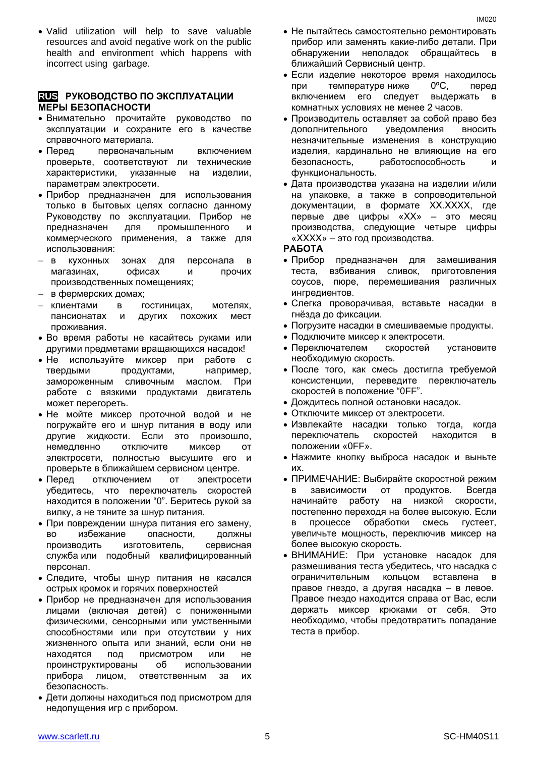Valid utilization will help to save valuable resources and avoid negative work on the public health and environment which happens with incorrect using garbage.

#### **RUS РУКОВОДСТВО ПО ЭКСПЛУАТАЦИИ МЕРЫ БЕЗОПАСНОСТИ**

- Внимательно прочитайте руководство по эксплуатации и сохраните его в качестве справочного материала.
- Перед первоначальным включением проверьте, соответствуют ли технические характеристики, указанные на изделии, параметрам электросети.
- Прибор предназначен для использования только в бытовых целях согласно данному Руководству по эксплуатации. Прибор не предназначен для промышленного и коммерческого применения, а также для использования:
- в кухонных зонах для персонала в магазинах, офисах и прочих производственных помещениях;
- в фермерских домах;
- клиентами в гостиницах, мотелях, пансионатах и других похожих мест проживания.
- Во время работы не касайтесь руками или другими предметами вращающихся насадок!
- Не используйте миксер при работе с твердыми продуктами, например, замороженным сливочным маслом. При работе с вязкими продуктами двигатель может перегореть.
- Не мойте миксер проточной водой и не погружайте его и шнур питания в воду или другие жидкости. Если это произошло, немедленно отключите миксер от электросети, полностью высушите его и проверьте в ближайшем сервисном центре.
- Перед отключением от электросети убедитесь, что переключатель скоростей находится в положении "0". Беритесь рукой за вилку, а не тяните за шнур питания.
- При повреждении шнура питания его замену, во избежание опасности, должны производить изготовитель, сервисная служба или подобный квалифицированный персонал.
- Следите, чтобы шнур питания не касался острых кромок и горячих поверхностей
- Прибор не предназначен для использования лицами (включая детей) с пониженными физическими, сенсорными или умственными способностями или при отсутствии у них жизненного опыта или знаний, если они не находятся под присмотром или не проинструктированы об использовании прибора лицом, ответственным за их безопасность.
- Дети должны находиться под присмотром для недопущения игр с прибором.
- Не пытайтесь самостоятельно ремонтировать прибор или заменять какие-либо детали. При обнаружении неполадок обращайтесь ближайший Сервисный центр.
- Если изделие некоторое время находилось при температуре ниже 0ºC, перед включением его следует выдержать в комнатных условиях не менее 2 часов.
- Производитель оставляет за собой право без дополнительного уведомления вносить незначительные изменения в конструкцию изделия, кардинально не влияющие на его безопасность, работоспособность и функциональность.
- Дата производства указана на изделии и/или на упаковке, а также в сопроводительной документации, в формате XX.XXXX, где первые две цифры «XX» – это месяц производства, следующие четыре цифры «XXXX» – это год производства.

#### **РАБОТА**

- Прибор предназначен для замешивания теста, взбивания сливок, приготовления соусов, пюре, перемешивания различных ингредиентов.
- Слегка проворачивая, вставьте насадки в гнёзда до фиксации.
- Погрузите насадки в смешиваемые продукты.
- Подключите миксер к электросети.
- Переключателем скоростей установите необходимую скорость.
- После того, как смесь достигла требуемой консистенции, переведите переключатель скоростей в положение "0FF".
- Дождитесь полной остановки насадок.
- Отключите миксер от электросети.
- Извлекайте насадки только тогда, когда переключатель скоростей находится в положении «0FF».
- Нажмите кнопку выброса насадок и выньте их.
- ПРИМЕЧАНИЕ: Выбирайте скоростной режим в зависимости от продуктов. Всегда начинайте работу на низкой скорости, постепенно переходя на более высокую. Если в процессе обработки смесь густеет, увеличьте мощность, переключив миксер на более высокую скорость.
- ВНИМАНИЕ: При установке насадок для размешивания теста убедитесь, что насадка с ограничительным кольцом вставлена правое гнездо, а другая насадка – в левое. Правое гнездо находится справа от Вас, если держать миксер крюками от себя. Это необходимо, чтобы предотвратить попадание теста в прибор.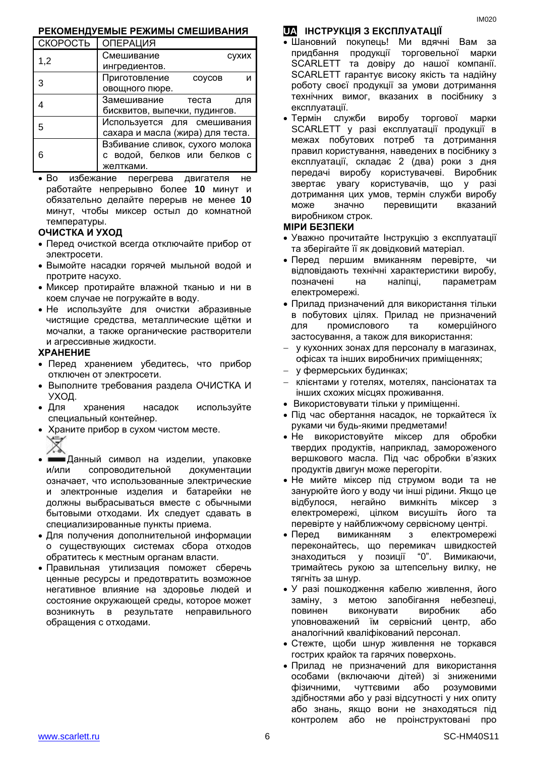#### **РЕКОМЕНДУЕМЫЕ РЕЖИМЫ СМЕШИВАНИЯ**

| СКОРОСТЬ | <b>ОПЕРАЦИЯ</b>                  |
|----------|----------------------------------|
| 1,2      | Смешивание<br>сухих              |
|          | ингредиентов.                    |
| 3        | Приготовление<br>COVCOB<br>и     |
|          | овощного пюре.                   |
|          | Замешивание теста<br>для         |
|          | бисквитов, выпечки, пудингов.    |
| 5        | Используется для смешивания      |
|          | сахара и масла (жира) для теста. |
|          | Взбивание сливок, сухого молока  |
| 6        | с водой, белков или белков с     |
|          | желтками.                        |

 Во избежание перегрева двигателя не работайте непрерывно более **10** минут и обязательно делайте перерыв не менее **10** минут, чтобы миксер остыл до комнатной температуры.

#### **ОЧИСТКА И УХОД**

- Перед очисткой всегда отключайте прибор от электросети.
- Вымойте насадки горячей мыльной водой и протрите насухо.
- Миксер протирайте влажной тканью и ни в коем случае не погружайте в воду.
- Не используйте для очистки абразивные чистящие средства, металлические щётки и мочалки, а также органические растворители и агрессивные жидкости.

#### **ХРАНЕНИЕ**

- Перед хранением убедитесь, что прибор отключен от электросети.
- Выполните требования раздела ОЧИСТКА И УХОД.
- Для хранения насадок используйте специальный контейнер.
- Храните прибор в сухом чистом месте. ▽
- Данный символ на изделии, упаковке и/или сопроводительной документации означает, что использованные электрические и электронные изделия и батарейки не должны выбрасываться вместе с обычными бытовыми отходами. Их следует сдавать в специализированные пункты приема.
- Для получения дополнительной информации о существующих системах сбора отходов обратитесь к местным органам власти.
- Правильная утилизация поможет сберечь ценные ресурсы и предотвратить возможное негативное влияние на здоровье людей и состояние окружающей среды, которое может возникнуть в результате неправильного обращения с отходами.

### **UA ІНСТРУКЦІЯ З ЕКСПЛУАТАЦІЇ**

- Шановний покупець! Ми вдячні Вам за придбання продукції торговельної марки SCARLETT та довіру до нашої компанії. SCARLETT гарантує високу якість та надійну роботу своєї продукції за умови дотримання технічних вимог, вказаних в посібнику з експлуатації.
- Термін служби виробу торгової марки SCARLETT у разі експлуатації продукції в межах побутових потреб та дотримання правил користування, наведених в посібнику з експлуатації, складає 2 (два) роки з дня передачі виробу користувачеві. Виробник звертає увагу користувачів, що у разі дотримання цих умов, термін служби виробу може значно перевищити вказаний виробником строк.

#### **МІРИ БЕЗПЕКИ**

- Уважно прочитайте Інструкцію з експлуатації та зберігайте її як довідковий матеріал.
- Перед першим вмиканням перевірте, чи відповідають технічні характеристики виробу, позначені на наліпці, параметрам електромережі.
- Прилад призначений для використання тільки в побутових цілях. Прилад не призначений для промислового та комерційного застосування, а також для використання:
- у кухонних зонах для персоналу в магазинах, офісах та інших виробничих приміщеннях;
- у фермерських будинках;
- клієнтами у готелях, мотелях, пансіонатах та інших схожих місцях проживання.
- Використовувати тільки у приміщенні.
- Під час обертання насадок, не торкайтеся їх руками чи будь-якими предметами!
- Не використовуйте міксер для обробки твердих продуктів, наприклад, замороженого вершкового масла. Під час обробки в'язких продуктів двигун може перегоріти.
- Не мийте міксер під струмом води та не занурюйте його у воду чи інші рідини. Якщо це відбулося, негайно вимкніть міксер з електромережі, цілком висушіть його та перевірте у найближчому сервісному центрі.
- Перед вимиканням з електромережі переконайтесь, що перемикач швидкостей знаходиться у позиції "0". Вимикаючи, тримайтесь рукою за штепсельну вилку, не тягніть за шнур.
- У разі пошкодження кабелю живлення, його заміну, з метою запобігання небезпеці, повинен виконувати виробник або уповноважений їм сервісний центр, або аналогічний кваліфікований персонал.
- Стежте, щоби шнур живлення не торкався гострих крайок та гарячих поверхонь.
- Прилад не призначений для використання особами (включаючи дітей) зі зниженими фізичними, чуттєвими або розумовими здібностями або у разі відсутності у них опиту або знань, якщо вони не знаходяться під контролем або не проінструктовані про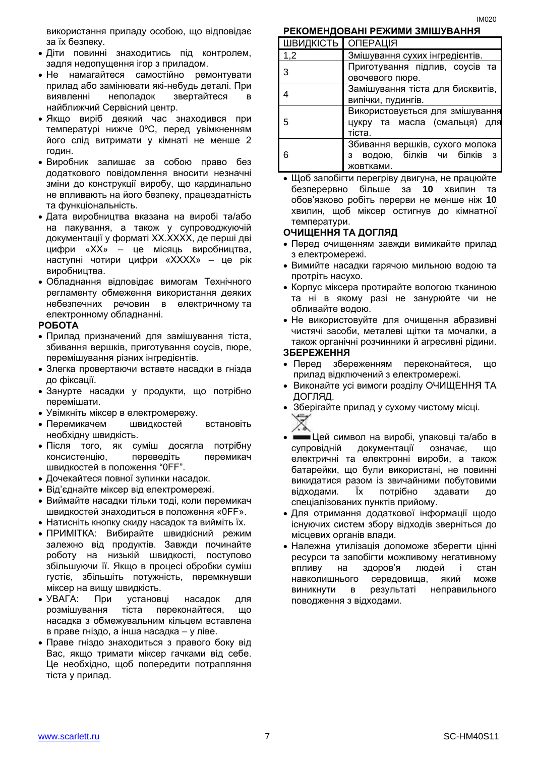використання приладу особою, що відповідає за їх безпеку.

- Діти повинні знаходитись під контролем, задля недопущення ігор з приладом.
- Не намагайтеся самостійно ремонтувати прилад або замінювати які-небудь деталі. При виявленні неполадок звертайтеся в найближчий Сервісний центр.
- Якщо виріб деякий час знаходився при температурі нижче 0ºC, перед увімкненням його слід витримати у кімнаті не менше 2 годин.
- Виробник залишає за собою право без додаткового повідомлення вносити незначні зміни до конструкції виробу, що кардинально не впливають на його безпеку, працездатність та функціональність.
- Дата виробництва вказана на виробі та/або на пакування, а також у супроводжуючій документації у форматі XX.XXXX, де перші дві цифри «XX» – це місяць виробництва, наступні чотири цифри «XXXX» – це рік виробництва.
- Обладнання відповідає вимогам Технічного регламенту обмеження використання деяких небезпечних речовин в електричному та електронному обладнанні.

#### **РОБОТА**

- Прилад призначений для замішування тіста, збивання вершків, приготування соусів, пюре, перемішування різних інгредієнтів.
- Злегка провертаючи вставте насадки в гнізда до фіксації.
- Занурте насадки у продукти, що потрібно перемішати.
- Увімкніть міксер в електромережу.
- Перемикачем швидкостей встановіть необхідну швидкість.
- Після того, як суміш досягла потрібну консистенцію, переведіть перемикач швидкостей в положення "0FF".
- Дочекайтеся повної зупинки насадок.
- Від'єднайте міксер від електромережі.
- Виймайте насадки тільки тоді, коли перемикач швидкостей знаходиться в положення «0FF».
- Натисніть кнопку скиду насадок та вийміть їх.
- ПРИМІТКА: Вибирайте швидкісний режим залежно від продуктів. Завжди починайте роботу на низькій швидкості, поступово збільшуючи її. Якщо в процесі обробки суміш густіє, збільшіть потужність, перемкнувши міксер на вищу швидкість.
- УВАГА: При установці насадок для розмішування тіста переконайтеся, що насадка з обмежувальним кільцем вставлена в праве гніздо, а інша насадка – у ліве.
- Праве гніздо знаходиться з правого боку від Вас, якщо тримати міксер гачками від себе. Це необхідно, щоб попередити потрапляння тіста у прилад.

**РЕКОМЕНДОВАНІ РЕЖИМИ ЗМІШУВАННЯ** ПІВИДИСТЬ ОПЕРАЦІЯ

| ШВИДКІСТЬ   ОПЕРАЦІЯ |                                   |
|----------------------|-----------------------------------|
| 1,2                  | Змішування сухих інгредієнтів.    |
| 3                    | Приготування підлив, соусів та    |
|                      | овочевого пюре.                   |
|                      | Замішування тіста для бисквитів,  |
|                      | випічки, пудингів.                |
|                      | Використовується для змішування   |
| 5                    | цукру та масла (смальця) для      |
|                      | тіста.                            |
|                      | Збивання вершків, сухого молока   |
| 6                    | водою, білків чи білків<br>3<br>3 |
|                      | жовтками.                         |

 Щоб запобігти перегріву двигуна, не працюйте безперервно більше за **10** хвилин та обов'язково робіть перерви не менше ніж **10** хвилин, щоб міксер остигнув до кімнатної температури.

#### **ОЧИЩЕННЯ ТА ДОГЛЯД**

- Перед очищенням завжди вимикайте прилад з електромережі.
- Вимийте насадки гарячою мильною водою та протріть насухо.
- Корпус міксера протирайте вологою тканиною та ні в якому разі не занурюйте чи не обливайте водою.
- Не використовуйте для очищення абразивні чистячі засоби, металеві щітки та мочалки, а також органічні розчинники й агресивні рідини. **ЗБЕРЕЖЕННЯ**

- Перед збереженням переконайтеся, що прилад відключений з електромережі.
- Виконайте усі вимоги розділу ОЧИЩЕННЯ ТА ДОГЛЯД.
- Зберігайте прилад у сухому чистому місці.
- Цей символ на виробі, упаковці та/або в супровідній документації означає, що електричні та електронні вироби, а також батарейки, що були використані, не повинні викидатися разом із звичайними побутовими відходами. Їх потрібно здавати до спеціалізованих пунктів прийому.
- Для отримання додаткової інформації щодо існуючих систем збору відходів зверніться до місцевих органів влади.
- Належна утилізація допоможе зберегти цінні ресурси та запобігти можливому негативному впливу на здоров'я людей і стан навколишнього середовища, який може виникнути в результаті неправильного поводження з відходами.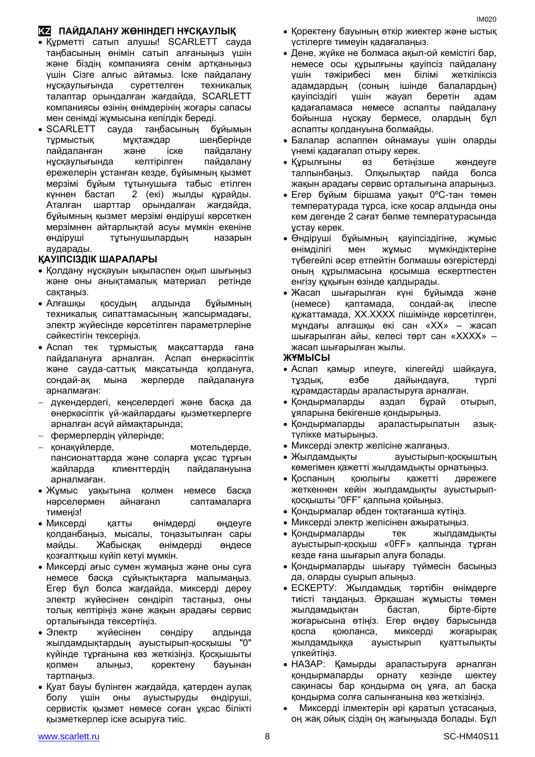## **KZ ПАЙДАЛАНУ ЖӨНІНДЕГІ НҰСҚАУЛЫҚ**

- Құрметті сатып алушы! SCARLETT сауда таңбасының өнімін сатып алғаныңыз үшін және біздің компанияға сенім артқаныңыз үшін Сізге алғыс айтамыз. Іске пайдалану нұсқаулығында суреттелген техникалық талаптар орындалған жағдайда, SCARLETT компаниясы өзінің өнімдерінің жоғары сапасы мен сенімді жұмысына кепілдік береді.
- SCARLETT сауда таңбасының бұйымын тұрмыстық мұқтаждар шеңберінде пайдаланған және іске пайдалану нұсқаулығында келтірілген пайдалану ережелерін ұстанған кезде, бұйымның қызмет мерзімі бұйым тұтынушыға табыс етілген күннен бастап 2 (екі) жылды құрайды. Аталған шарттар орындалған жағдайда, бұйымның қызмет мерзімі өндіруші көрсеткен мерзімнен айтарлықтай асуы мүмкін екеніне өндіруші тұтынушылардың назарын аударады.

#### **ҚАУІПСІЗДІК ШАРАЛАРЫ**

- Қолдану нұсқауын ықыласпен оқып шығыңыз және оны анықтамалық материал ретінде сақтаңыз.
- Алғашқы қосудың алдында бұйымның техникалық сипаттамасының жапсырмадағы, электр жүйесінде көрсетілген параметрлеріне сәйкестігін тексеріңіз.
- Аспап тек тұрмыстық мақсаттарда ғана пайдалануға арналған. Аспап өнеркәсіптік және сауда-саттық мақсатында қолдануға, сондай-ақ мына жерлерде пайдалануға арналмаған:
- дүкендердегі, кеңселердегі және басқа да өнеркәсіптік үй-жайлардағы қызметкерлерге арналған асүй аймақтарында;
- фермерлердің үйлерінде;
- қонақүйлерде, мотельдерде, пансионаттарда және соларға ұқсас тұрғын жайларда клиенттердің пайдалануына арналмаған.
- Жұмыс уақытына қолмен немесе басқа нәрселермен айнағанл саптамаларға тимеңіз!
- Миксерді қатты өнімдерді өңдеуге қолданбаңыз, мысалы, тоңазытылған сары майды. Жабысқақ өнімдерді өңдесе қозғалтқыш күйіп кетуі мүмкін.
- Миксерді ағыс сумен жумаңыз және оны суға немесе басқа сұйықтықтарға малымаңыз. Егер бұл болса жағдайда, миксерді дереу электр жүйесінен сөндіріп тастаңыз, оны толық кептіріңіз және жақын арадағы сервис орталығында тексертіңіз.
- Электр жүйесінен сөндіру алдында жылдамдықтардың ауыстырып-қосқышы "0" күйінде тұрғанына көз жеткізіңіз. Қосқышыты қолмен алыңыз, қоректену бауынан тартпаңыз.
- Қуат бауы бүлінген жағдайда, қатерден аулақ болу үшін оны ауыстыруды өндіруші, сервистік қызмет немесе соған ұқсас білікті қызметкерлер іске асыруға тиіс.
- Қоректену бауының өткір жиектер және ыстық үстілерге тимеуін қадағалаңыз.
- Дене, жүйке не болмаса ақыл-ой кемістігі бар, немесе осы құрылғыны қауіпсіз пайдалану үшін тәжірибесі мен білімі жеткіліксіз адамдардың (соның ішінде балалардың) қауіпсіздігі үшін жауап беретін адам қадағаламаса немесе аспапты пайдалану бойынша нұсқау бермесе, олардың бұл аспапты қолдануына болмайды.
- Балалар аспаппен ойнамауы үшін оларды үнемі қадағалап отыру керек.
- Құрылғыны өз бетіңізше жөндеуге талпынбаңыз. Олқылықтар пайда болса жақын арадағы сервис орталығына апарыңыз.
- Егер бұйым біршама уақыт 0ºC-тан төмен температурада тұрса, іске қосар алдында оны кем дегенде 2 сағат бөлме температурасында ұстау керек.
- Өндіруші бұйымның қауіпсіздігіне, жұмыс өнімділігі мен жұмыс мүмкіндіктеріне түбегейлі әсер етпейтін болмашы өзгерістерді оның құрылмасына қосымша ескертпестен енгізу құқығын өзінде қалдырады.
- Жасап шығарылған күні бұйымда және (немесе) қаптамада, сондай-ақ ілеспе құжаттамада, XX.XXXX пішімінде көрсетілген, мұндағы алғашқы екі сан «XX» – жасап шығарылған айы, келесі төрт сан «XXXX» – жасап шығарылған жылы.

#### **ЖҰМЫСЫ**

- Аспап қамыр илеуге, кілегейді шайқауға, тұздық, езбе дайындауға, түрлі құрамдастарды араластыруға арналған.
- Қондырмаларды аздап бұрай отырып, ұяларына бекігенше қондырыңыз.
- Қондырмаларды араластырылатын азықтүлікке матырыңыз.
- Миксерді электр желісіне жалғаңыз.
- Жылдамдықты ауыстырып-қосқыштың көмегімен қажетті жылдамдықты орнатыңыз.
- Қоспаның қоюлығы қажетті дәрежеге жеткеннен кейін жылдамдықты ауыстырыпқосқышты "0FF" қалпына қойыңыз.
- Қондырмалар әбден тоқтағанша күтіңіз.
- Миксерді электр желісінен ажыратыңыз.
- Қондырмаларды тек жылдамдықты ауыстырып-қосқыш «0FF» қалпында тұрған кезде ғана шығарып алуға болады.
- Қондырмаларды шығару түймесін басыңыз да, оларды суырып алыңыз.
- ЕСКЕРТУ: Жылдамдық тәртібін өнімдерге тиісті таңдаңыз. Әрқашан жұмысты төмен жылдамдықтан бастап, бірте-бірте жоғарысына өтіңіз. Егер өңдеу барысында қоспа қоюланса, миксерді жоғарырақ жылдамдыққа ауыстырып қуаттылықты үлкейтіңіз.
- НАЗАР: Қамырды араластыруға арналған қондырмаларды орнату кезінде шектеу сақинасы бар қондырма оң ұяға, ал басқа қондырма солға салынғанына көз жеткізіңіз.
- Миксерді ілмектерін әрі қаратып ұстасаңыз, оң жақ ойық сіздің оң жағыңызда болады. Бұл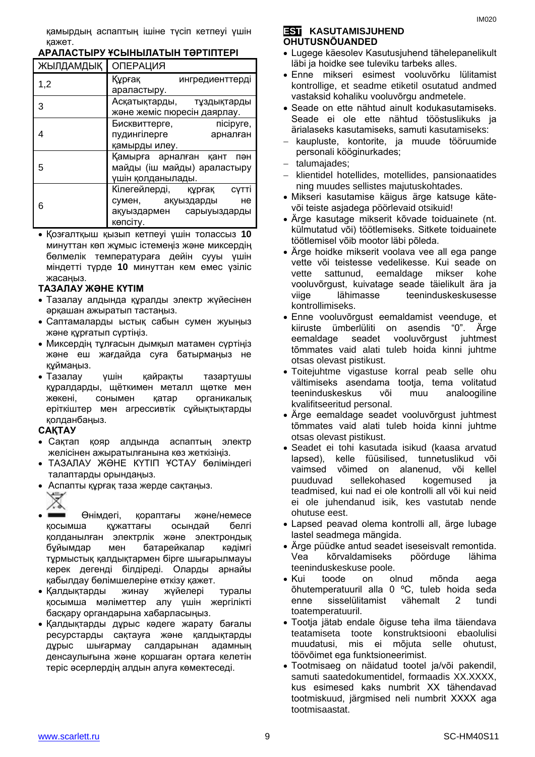| ЖЫЛДАМДЫҚ   ОПЕРАЦИЯ                                        |                               |  |
|-------------------------------------------------------------|-------------------------------|--|
| 1,2                                                         | Құрғақ<br>ингредиенттерді     |  |
|                                                             | араластыру.                   |  |
| 3                                                           | Асқатықтарды, тұздықтарды     |  |
|                                                             | және жеміс пюресін даярлау.   |  |
|                                                             | Бисквиттерге,<br>nicipyre,    |  |
| 4                                                           | пудингілерге<br>арналған      |  |
|                                                             | қамырды илеу.                 |  |
|                                                             | Қамырға арналған қант<br>пән  |  |
| 5                                                           | майды (іш майды) араластыру   |  |
|                                                             | үшін қолданылады.             |  |
|                                                             | Кілегейлерді, құрғақ<br>сүтті |  |
| 6                                                           | не<br>сумен, ақуыздарды       |  |
|                                                             | ақуыздармен сарыуыздарды      |  |
|                                                             | көпсіту.                      |  |
| $\bullet$ Kossantkliili klislin katnavi viiliu tongeelis 10 |                               |  |

#### **АРАЛАСТЫРУ ҰСЫНЫЛАТЫН ТӘРТІПТЕРІ**

 Қозғалтқыш қызып кетпеуі үшін толассыз **10** минуттан көп жұмыс істемеңіз және миксердің бөлмелік температураға дейін сууы үшін міндетті түрде **10** минуттан кем емес үзіліс жасаңыз.

#### **ТАЗАЛАУ ЖӘНЕ КҮТІМ**

- Тазалау алдында құралды электр жүйесінен әрқашан ажыратып тастаңыз.
- Саптамаларды ыстық сабын сумен жуыңыз және құрғатып сүртіңіз.
- Миксердің тұлғасын дымқыл матамен сүртіңіз және еш жағдайда суға батырмаңыз не құймаңыз.
- Тазалау үшін қайрақты тазартушы құралдарды, щёткимен металл щөтке мен жөкені, сонымен қатар органикалық еріткіштер мен агрессивтік сұйықтықтарды қолданбаңыз.

#### **САҚТАУ**

- Сақтап қояр алдында аспаптың электр желісінен ажыратылғанына көз жеткізіңіз.
- ТАЗАЛАУ ЖӘНЕ КҮТІП ҰСТАУ бөліміндегі талаптарды орындаңыз.
- Аспапты құрғақ таза жерде сақтаңыз. △
- Өнімдегі, қораптағы және/немесе қосымша құжаттағы осындай белгі қолданылған электрлік және электрондық бұйымдар мен батарейкалар кәдімгі тұрмыстық қалдықтармен бірге шығарылмауы керек дегенді білдіреді. Оларды арнайы қабылдау бөлімшелеріне өткізу қажет.
- Қалдықтарды жинау жүйелері туралы қосымша мәліметтер алу үшін жергілікті басқару органдарына хабарласыңыз.
- Қалдықтарды дұрыс кәдеге жарату бағалы ресурстарды сақтауға және қалдықтарды дұрыс шығармау салдарынан адамның денсаулығына және қоршаған ортаға келетін теріс әсерлердің алдын алуға көмектеседі.

#### **EST KASUTAMISJUHEND OHUTUSNÕUANDED**

- Lugege käesolev Kasutusjuhend tähelepanelikult läbi ja hoidke see tuleviku tarbeks alles.
- Enne mikseri esimest vooluvõrku lülitamist kontrollige, et seadme etiketil osutatud andmed vastaksid kohaliku vooluvõrgu andmetele.
- Seade on ette nähtud ainult kodukasutamiseks. Seade ei ole ette nähtud tööstuslikuks ja ärialaseks kasutamiseks, samuti kasutamiseks:
- kaupluste, kontorite, ja muude tööruumide personali kööginurkades;
- talumajades:
- klientidel hotellides, motellides, pansionaatides ning muudes sellistes majutuskohtades.
- Mikseri kasutamise käigus ärge katsuge kätevõi teiste asjadega pöörlevaid otsikuid!
- Ärge kasutage mikserit kõvade toiduainete (nt. külmutatud või) töötlemiseks. Sitkete toiduainete töötlemisel võib mootor läbi põleda.
- Ärge hoidke mikserit voolava vee all ega pange vette või teistesse vedelikesse. Kui seade on vette sattunud, eemaldage mikser kohe vooluvõrgust, kuivatage seade täielikult ära ja viige lähimasse teeninduskeskusesse kontrollimiseks.
- Enne vooluvõrgust eemaldamist veenduge, et kiiruste ümberlüliti on asendis "0". Ärge eemaldage seadet vooluvõrgust juhtmest tõmmates vaid alati tuleb hoida kinni juhtme otsas olevast pistikust.
- Toitejuhtme vigastuse korral peab selle ohu vältimiseks asendama tootja, tema volitatud teeninduskeskus või muu analoogiline kvalifitseeritud personal.
- Ärge eemaldage seadet vooluvõrgust juhtmest tõmmates vaid alati tuleb hoida kinni juhtme otsas olevast pistikust.
- Seadet ei tohi kasutada isikud (kaasa arvatud lapsed), kelle füüsilised, tunnetuslikud või vaimsed võimed on alanenud, või kellel puuduvad sellekohased kogemused ja teadmised, kui nad ei ole kontrolli all või kui neid ei ole juhendanud isik, kes vastutab nende ohutuse eest.
- Lapsed peavad olema kontrolli all, ärge lubage lastel seadmega mängida.
- Ärge püüdke antud seadet iseseisvalt remontida. Vea kõrvaldamiseks pöörduge lähima teeninduskeskuse poole.
- Kui toode on olnud mõnda aega õhutemperatuuril alla 0 ºC, tuleb hoida seda enne sisselülitamist vähemalt 2 tundi toatemperatuuril.
- Tootja jätab endale õiguse teha ilma täiendava teatamiseta toote konstruktsiooni ebaolulisi muudatusi, mis ei mõjuta selle ohutust, töövõimet ega funktsioneerimist.
- Tootmisaeg on näidatud tootel ja/või pakendil, samuti saatedokumentidel, formaadis XX.XXXX, kus esimesed kaks numbrit XX tähendavad tootmiskuud, järgmised neli numbrit XXXX aga tootmisaastat.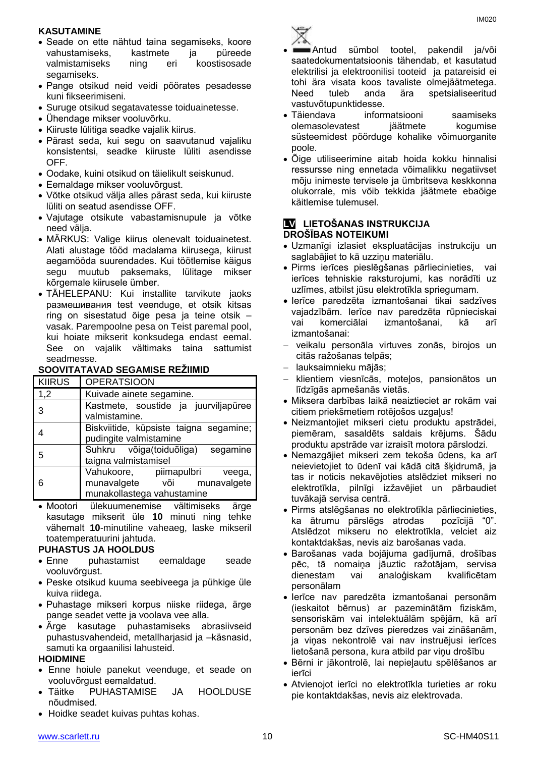#### **KASUTAMINE**

- Seade on ette nähtud taina segamiseks, koore vahustamiseks, kastmete ja püreede valmistamiseks ning eri koostisosade segamiseks.
- Pange otsikud neid veidi pöörates pesadesse kuni fikseerimiseni.
- Suruge otsikud segatavatesse toiduainetesse.
- Ühendage mikser vooluvõrku.
- Kiiruste lülitiga seadke vajalik kiirus.
- Pärast seda, kui segu on saavutanud vajaliku konsistentsi, seadke kiiruste lüliti asendisse OFF.
- Oodake, kuini otsikud on täielikult seiskunud.
- Eemaldage mikser vooluvõrgust.
- Võtke otsikud välja alles pärast seda, kui kiiruste lüliti on seatud asendisse OFF.
- Vajutage otsikute vabastamisnupule ja võtke need välja.
- MÄRKUS: Valige kiirus olenevalt toiduainetest. Alati alustage tööd madalama kiirusega, kiirust aegamööda suurendades. Kui töötlemise käigus segu muutub paksemaks, lülitage mikser kõrgemale kiirusele ümber.
- TÄHELEPANU: Kui installite tarvikute jaoks размешивания test veenduge, et otsik kitsas ring on sisestatud õige pesa ja teine otsik – vasak. Parempoolne pesa on Teist paremal pool, kui hoiate mikserit konksudega endast eemal. See on vajalik vältimaks taina sattumist seadmesse.

#### **SOOVITATAVAD SEGAMISE REŽIIMID**

| <b>KIIRUS</b> | <b>OPERATSIOON</b>                                                                         |
|---------------|--------------------------------------------------------------------------------------------|
| 1,2           | Kuivade ainete segamine.                                                                   |
| 3             | Kastmete, soustide ja juurviljapüree<br>valmistamine.                                      |
|               | Biskviitide, küpsiste taigna segamine;<br>pudingite valmistamine                           |
| 5             | Suhkru võiga(toiduõliga)<br>segamine<br>taigna valmistamisel                               |
| 6             | Vahukoore, piimapulbri veega,<br>munavalgete või munavalgete<br>munakollastega vahustamine |

 Mootori ülekuumenemise vältimiseks ärge kasutage mikserit üle **10** minuti ning tehke vähemalt **10**-minutiline vaheaeg, laske mikseril toatemperatuurini jahtuda.

#### **PUHASTUS JA HOOLDUS**

- Enne puhastamist eemaldage seade vooluvõrgust.
- Peske otsikud kuuma seebiveega ja pühkige üle kuiva riidega.
- Puhastage mikseri korpus niiske riidega, ärge pange seadet vette ja voolava vee alla.
- Ärge kasutage puhastamiseks abrasiivseid puhastusvahendeid, metallharjasid ja –käsnasid, samuti ka orgaanilisi lahusteid.

#### **HOIDMINE**

- Enne hoiule panekut veenduge, et seade on vooluvõrgust eemaldatud.
- Täitke PUHASTAMISE JA HOOLDUSE nõudmised.
- Hoidke seadet kuivas puhtas kohas.



- Antud sümbol tootel, pakendil ja/või saatedokumentatsioonis tähendab, et kasutatud elektrilisi ja elektroonilisi tooteid ja patareisid ei tohi ära visata koos tavaliste olmejäätmetega. Need tuleb anda ära spetsialiseeritud vastuvõtupunktidesse.
- Täiendava informatsiooni saamiseks olemasolevatest jäätmete kogumise süsteemidest pöörduge kohalike võimuorganite poole.
- Õige utiliseerimine aitab hoida kokku hinnalisi ressursse ning ennetada võimalikku negatiivset mõju inimeste tervisele ja ümbritseva keskkonna olukorrale, mis võib tekkida jäätmete ebaõige käitlemise tulemusel.

#### **LV LIETOŠANAS INSTRUKCIJA DROŠĪBAS NOTEIKUMI**

- Uzmanīgi izlasiet ekspluatācijas instrukciju un saglabājiet to kā uzziņu materiālu.
- Pirms ierīces pieslēgšanas pārliecinieties, vai ierīces tehniskie raksturojumi, kas norādīti uz uzlīmes, atbilst jūsu elektrotīkla spriegumam.
- Ierīce paredzēta izmantošanai tikai sadzīves vajadzībām. Ierīce nav paredzēta rūpnieciskai vai komerciālai izmantošanai, kā arī izmantošanai:
- veikalu personāla virtuves zonās, birojos un citās ražošanas telpās;
- lauksaimnieku mājās;
- klientiem viesnīcās, moteļos, pansionātos un līdzīgās apmešanās vietās.
- Miksera darbības laikā neaiztieciet ar rokām vai citiem priekšmetiem rotējošos uzgaļus!
- Neizmantojiet mikseri cietu produktu apstrādei, piemēram, sasaldēts saldais krējums. Šādu produktu apstrāde var izraisīt motora pārslodzi.
- Nemazgājiet mikseri zem tekoša ūdens, ka arī neievietojiet to ūdenī vai kādā citā šķidrumā, ja tas ir noticis nekavējoties atslēdziet mikseri no elektrotīkla, pilnīgi izžavējiet un pārbaudiet tuvākajā servisa centrā.
- Pirms atslēgšanas no elektrotīkla pārliecinieties, ka ātrumu pārslēgs atrodas pozīcijā "0". Atslēdzot mikseru no elektrotīkla, velciet aiz kontaktdakšas, nevis aiz barošanas vada.
- Barošanas vada bojājuma gadījumā, drošības pēc, tā nomaiņa jāuztic ražotājam, servisa dienestam vai analoģiskam kvalificētam personālam
- Ierīce nav paredzēta izmantošanai personām (ieskaitot bērnus) ar pazeminātām fiziskām, sensoriskām vai intelektuālām spējām, kā arī personām bez dzīves pieredzes vai zināšanām, ja viņas nekontrolē vai nav instruējusi ierīces lietošanā persona, kura atbild par viņu drošību
- Bērni ir jākontrolē, lai nepieļautu spēlēšanos ar ierīci
- Atvienojot ierīci no elektrotīkla turieties ar roku pie kontaktdakšas, nevis aiz elektrovada.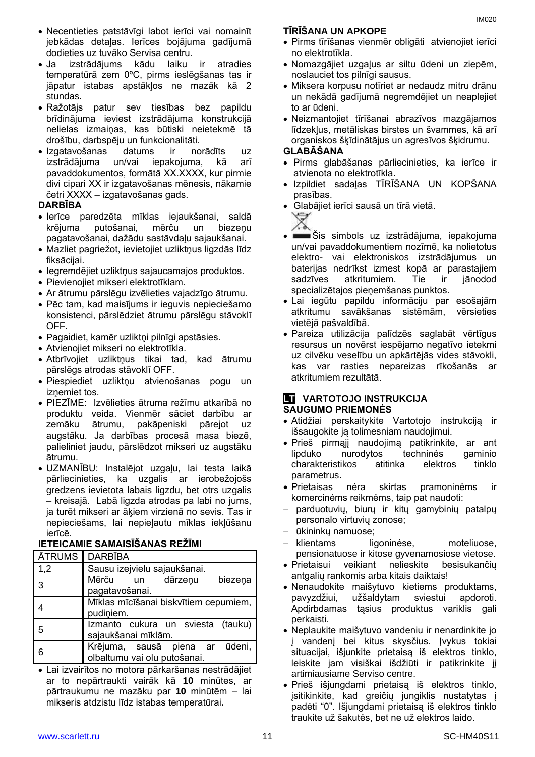- Necentieties patstāvīgi labot ierīci vai nomainīt jebkādas detaļas. Ierīces bojājuma gadījumā dodieties uz tuvāko Servisa centru.
- Ja izstrādājums kādu laiku ir atradies temperatūrā zem 0ºC, pirms ieslēgšanas tas ir jāpatur istabas apstākļos ne mazāk kā 2 stundas.
- Ražotājs patur sev tiesības bez papildu brīdinājuma ieviest izstrādājuma konstrukcijā nelielas izmaiņas, kas būtiski neietekmē tā drošību, darbspēju un funkcionalitāti.
- Izgatavošanas datums ir norādīts uz izstrādājuma un/vai iepakojuma, kā arī pavaddokumentos, formātā XX.XXXX, kur pirmie divi cipari XX ir izgatavošanas mēnesis, nākamie četri XXXX – izgatavošanas gads.

#### **DARBĪBA**

- Ierīce paredzēta mīklas iejaukšanai, saldā krējuma putošanai, mērču un biezeņu pagatavošanai, dažādu sastāvdaļu sajaukšanai.
- Mazliet pagriežot, ievietojiet uzliktņus ligzdās līdz fiksācijai.
- Iegremdējiet uzliktņus sajaucamajos produktos.
- Pievienojiet mikseri elektrotīklam.
- Ar ātrumu pārslēgu izvēlieties vajadzīgo ātrumu.
- Pēc tam, kad maisījums ir ieguvis nepieciešamo konsistenci, pārslēdziet ātrumu pārslēgu stāvoklī OFF.
- Pagaidiet, kamēr uzliktņi pilnīgi apstāsies.
- Atvienojiet mikseri no elektrotīkla.
- Atbrīvojiet uzliktņus tikai tad, kad ātrumu pārslēgs atrodas stāvoklī OFF.
- Piespiediet uzliktņu atvienošanas pogu un iznemiet tos.
- PIEZĪME: Izvēlieties ātruma režīmu atkarībā no produktu veida. Vienmēr sāciet darbību ar zemāku ātrumu, pakāpeniski pārejot uz augstāku. Ja darbības procesā masa biezē, palieliniet jaudu, pārslēdzot mikseri uz augstāku ātrumu.
- UZMANĪBU: Instalējot uzgaļu, lai testa laikā pārliecinieties, ka uzgalis ar ierobežojošs gredzens ievietota labais ligzdu, bet otrs uzgalis – kreisajā. Labā ligzda atrodas pa labi no jums, ja turēt mikseri ar āķiem virzienā no sevis. Tas ir nepieciešams, lai nepieļautu mīklas iekļūšanu ierīcē.

#### **IETEICAMIE SAMAISĪŠANAS REŽĪMI**

|     | <b>ĀTRUMS DARBĪBA</b>                 |
|-----|---------------------------------------|
| 1,2 | Sausu izejvielu sajaukšanai.          |
| 3   | Mērču<br>biezena<br>dārzeņu<br>un     |
|     | pagatavošanai.                        |
|     | Mīklas mīcīšanai biskvītiem cepumiem, |
|     | pudiniem.                             |
| 5   | Izmanto cukura un sviesta (tauku)     |
|     | sajaukšanai mīklām.                   |
| 6   | Krējuma, sausā piena ar<br>ūdeni,     |
|     | olbaltumu vai olu putošanai.          |
|     |                                       |

 Lai izvairītos no motora pārkaršanas nestrādājiet ar to nepārtraukti vairāk kā **10** minūtes, ar pārtraukumu ne mazāku par **10** minūtēm – lai mikseris atdzistu līdz istabas temperatūrai**.**

#### **TĪRĪŠANA UN APKOPE**

- Pirms tīrīšanas vienmēr obligāti atvienojiet ierīci no elektrotīkla.
- Nomazgājiet uzgaļus ar siltu ūdeni un ziepēm, noslauciet tos pilnīgi sausus.
- Miksera korpusu notīriet ar nedaudz mitru drānu un nekādā gadījumā negremdējiet un neaplejiet to ar ūdeni.
- Neizmantojiet tīrīšanai abrazīvos mazgājamos līdzekļus, metāliskas birstes un švammes, kā arī organiskos šķīdinātājus un agresīvos šķidrumu.

#### **GLABĀŠANA**

- Pirms glabāšanas pārliecinieties, ka ierīce ir atvienota no elektrotīkla.
- Izpildiet sadaļas TĪRĪŠANA UN KOPŠANA prasības.
- Glabājiet ierīci sausā un tīrā vietā.



- Šis simbols uz izstrādājuma, iepakojuma un/vai pavaddokumentiem nozīmē, ka nolietotus elektro- vai elektroniskos izstrādājumus un baterijas nedrīkst izmest kopā ar parastajiem sadzīves atkritumiem. Tie ir jānodod specializētajos pieņemšanas punktos.
- Lai iegūtu papildu informāciju par esošajām atkritumu savākšanas sistēmām, vērsieties vietējā pašvaldībā.
- Pareiza utilizācija palīdzēs saglabāt vērtīgus resursus un novērst iespējamo negatīvo ietekmi uz cilvēku veselību un apkārtējās vides stāvokli, kas var rasties nepareizas rīkošanās ar atkritumiem rezultātā.

#### **LT** VARTOTOJO INSTRUKCIJA **SAUGUMO PRIEMONĖS**

- Atidžiai perskaitykite Vartotojo instrukciją ir išsaugokite ją tolimesniam naudojimui.
- Prieš pirmąjį naudojimą patikrinkite, ar ant lipduko nurodytos techninės gaminio charakteristikos atitinka elektros tinklo parametrus.
- Prietaisas nėra skirtas pramoninėms ir komercinėms reikmėms, taip pat naudoti:
- parduotuvių, biurų ir kitų gamybinių patalpų personalo virtuvių zonose;
- ūkininkų namuose;
- klientams ligoninėse, moteliuose, pensionatuose ir kitose gyvenamosiose vietose.
- Prietaisui veikiant nelieskite besisukančių antgalių rankomis arba kitais daiktais!
- Nenaudokite maišytuvo kietiems produktams, pavyzdžiui, užšaldytam sviestui apdoroti. Apdirbdamas tąsius produktus variklis gali perkaisti.
- Neplaukite maišytuvo vandeniu ir nenardinkite jo į vandenį bei kitus skysčius. Įvykus tokiai situacijai, išjunkite prietaisą iš elektros tinklo, leiskite jam visiškai išdžiūti ir patikrinkite jį artimiausiame Serviso centre.
- Prieš išjungdami prietaisą iš elektros tinklo, įsitikinkite, kad greičių jungiklis nustatytas į padėti "0". Išjungdami prietaisą iš elektros tinklo traukite už šakutės, bet ne už elektros laido.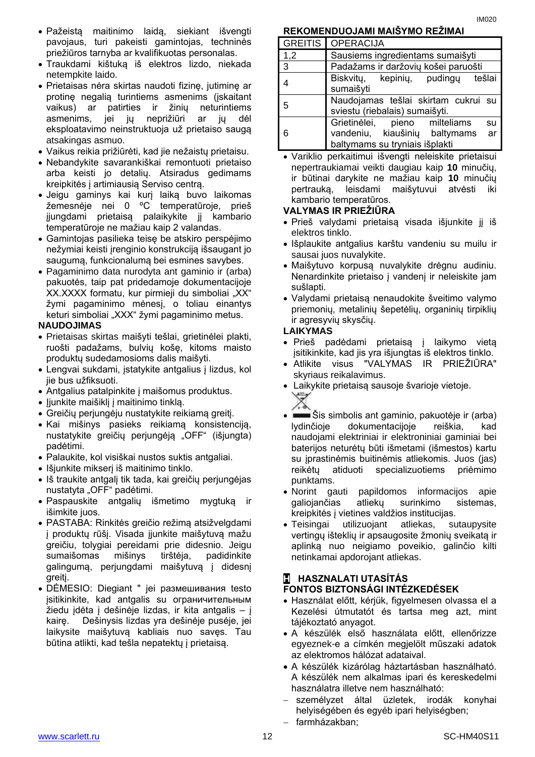- Pažeistą maitinimo laidą, siekiant išvengti pavojaus, turi pakeisti gamintojas, techninės priežiūros tarnyba ar kvalifikuotas personalas.
- Traukdami kištuką iš elektros lizdo, niekada netempkite laido.
- Prietaisas nėra skirtas naudoti fizinę, jutiminę ar protinę negalią turintiems asmenims (įskaitant vaikus) ar patirties ir žinių neturintiems asmenims, jei jų neprižiūri ar jų dėl eksploatavimo neinstruktuoja už prietaiso saugą atsakingas asmuo.
- Vaikus reikia prižiūrėti, kad jie nežaistų prietaisu.
- Nebandykite savarankiškai remontuoti prietaiso arba keisti jo detalių. Atsiradus gedimams kreipkitės į artimiausią Serviso centrą.
- Jeigu gaminys kai kurį laiką buvo laikomas žemesnėje nei 0 ºC temperatūroje, prieš įjungdami prietaisą palaikykite jį kambario temperatūroje ne mažiau kaip 2 valandas.
- Gamintojas pasilieka teisę be atskiro perspėjimo nežymiai keisti įrenginio konstrukciją išsaugant jo saugumą, funkcionalumą bei esmines savybes.
- Pagaminimo data nurodyta ant gaminio ir (arba) pakuotės, taip pat pridedamoje dokumentacijoje XX.XXXX formatu, kur pirmieji du simboliai "XX" žymi pagaminimo mėnesį, o toliau einantys keturi simboliai "XXX" žymi pagaminimo metus.

#### **NAUDOJIMAS**

- Prietaisas skirtas maišyti tešlai, grietinėlei plakti, ruošti padažams, bulvių košę, kitoms maisto produktų sudedamosioms dalis maišyti.
- Lengvai sukdami, įstatykite antgalius į lizdus, kol jie bus užfiksuoti.
- Antgalius patalpinkite į maišomus produktus.
- Jjunkite maišiklį į maitinimo tinklą.
- Greičių perjungėju nustatykite reikiamą greitį.
- Kai mišinys pasieks reikiamą konsistenciją, nustatykite greičių perjungėją "OFF" (išjungta) padėtimi.
- Palaukite, kol visiškai nustos suktis antgaliai.
- Išjunkite mikserį iš maitinimo tinklo.
- Iš traukite antgalį tik tada, kai greičių perjungėjas nustatyta "OFF" padėtimi.
- Paspauskite antgalių išmetimo mygtuką ir išimkite juos.
- PASTABA: Rinkitės greičio režimą atsižvelgdami į produktų rūšį. Visada įjunkite maišytuvą mažu greičiu, tolygiai pereidami prie didesnio. Jeigu sumaišomas mišinys tirštėja, padidinkite galingumą, perjungdami maišytuvą į didesnį greitį.
- DĖMESIO: Diegiant " jei размешивания testo įsitikinkite, kad antgalis su ограничительным žiedu įdėta į dešinėje lizdas, ir kita antgalis – į kairę. Dešinysis lizdas yra dešinėje pusėje, jei laikysite maišytuvą kabliais nuo savęs. Tau būtina atlikti, kad tešla nepatektų į prietaisą.

#### **REKOMENDUOJAMI MAIŠYMO REŽIMAI**

|                          | <b>GREITIS   OPERACIJA</b>                                                 |
|--------------------------|----------------------------------------------------------------------------|
| $\vert 1,2 \vert$        | Sausiems ingredientams sumaišyti                                           |
| $\overline{3}$           | Padažams ir daržovių košei paruošti                                        |
| $\boldsymbol{\varDelta}$ | Biskvity, kepiniy, pudingy<br>tešlai<br>sumaišyti                          |
| -5                       | Naudojamas tešlai skirtam cukrui su<br>sviestu (riebalais) sumaišyti.      |
| -6                       | Grietinėlei, pieno milteliams<br>su<br>ar<br>vandeniu, kiaušinių baltymams |
|                          | baltymams su tryniais išplakti                                             |

 Variklio perkaitimui išvengti neleiskite prietaisui nepertraukiamai veikti daugiau kaip **10** minučių, ir būtinai darykite ne mažiau kaip **10** minučių pertrauką, leisdami maišytuvui atvėsti iki kambario temperatūros.

#### **VALYMAS IR PRIEŽIŪRA**

- Prieš valydami prietaisą visada išjunkite jį iš elektros tinklo.
- Išplaukite antgalius karštu vandeniu su muilu ir sausai juos nuvalykite.
- Maišytuvo korpusą nuvalykite drėgnu audiniu. Nenardinkite prietaiso į vandenį ir neleiskite jam sušlapti.
- Valydami prietaisą nenaudokite šveitimo valymo priemonių, metalinių šepetėlių, organinių tirpiklių ir agresyvių skysčių.

#### **LAIKYMAS**

- Prieš padėdami prietaisą į laikymo vietą įsitikinkite, kad jis yra išjungtas iš elektros tinklo.
- Atlikite visus "VALYMAS IR PRIEŽIŪRA" skyriaus reikalavimus.
- Laikykite prietaisą sausoje švarioje vietoje.
- $\equiv$ Sis simbolis ant gaminio, pakuotėje ir (arba) lydinčioje dokumentacijoje reiškia, kad naudojami elektriniai ir elektroniniai gaminiai bei baterijos neturėtų būti išmetami (išmestos) kartu su įprastinėmis buitinėmis atliekomis. Juos (jas) reikėtų atiduoti specializuotiems priėmimo punktams.
- Norint gauti papildomos informacijos apie galiojančias atliekų surinkimo sistemas, kreipkitės į vietines valdžios institucijas.
- Teisingai utilizuojant atliekas, sutaupysite vertingų išteklių ir apsaugosite žmonių sveikatą ir aplinką nuo neigiamo poveikio, galinčio kilti netinkamai apdorojant atliekas.

### **H HASZNALATI UTASÍTÁS FONTOS BIZTONSÁGI INTÉZKEDÉSEK**

- Használat előtt, kérjük, figyelmesen olvassa el a Kezelési útmutatót és tartsa meg azt, mint tájékoztató anyagot.
- A készülék első használata előtt, ellenőrizze egyeznek-e a címkén megjelölt műszaki adatok az elektromos hálózat adataival.
- A készülék kizárólag háztartásban használható. A készülék nem alkalmas ipari és kereskedelmi használatra illetve nem használható:
- személyzet által üzletek, irodák konyhai helyiségében és egyéb ipari helyiségben;
- farmházakban;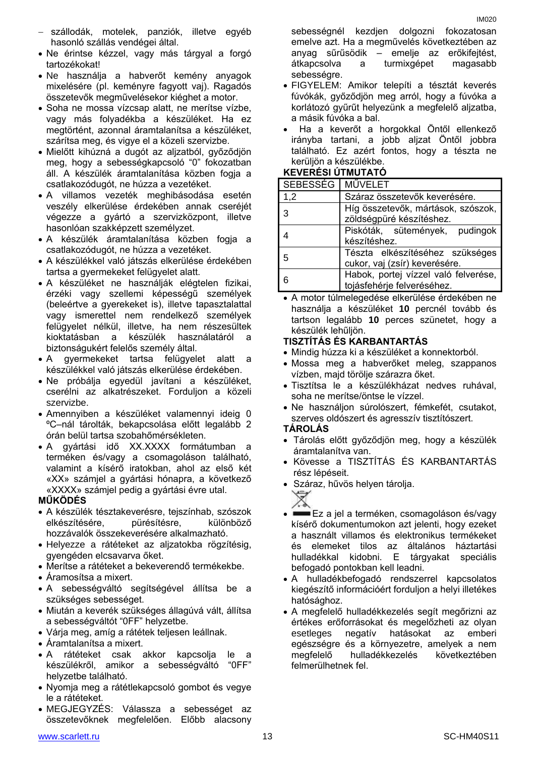- szállodák, motelek, panziók, illetve egyéb hasonló szállás vendégei által.
- Ne érintse kézzel, vagy más tárgyal a forgó tartozékokat!
- Ne használja a habverőt kemény anyagok mixelésére (pl. keményre fagyott vaj). Ragadós összetevők megművelésekor kiéghet a motor.
- Soha ne mossa vízcsap alatt, ne merítse vízbe, vagy más folyadékba a készüléket. Ha ez megtörtént, azonnal áramtalanítsa a készüléket, szárítsa meg, és vigye el a közeli szervizbe.
- Mielőtt kihúzná a dugót az aljzatból, győződjön meg, hogy a sebességkapcsoló "0" fokozatban áll. A készülék áramtalanítása közben fogja a csatlakozódugót, ne húzza a vezetéket.
- A villamos vezeték meghibásodása esetén veszély elkerülése érdekében annak cseréjét végezze a gyártó a szervizközpont, illetve hasonlóan szakképzett személyzet.
- A készülék áramtalanítása közben fogja a csatlakozódugót, ne húzza a vezetéket.
- A készülékkel való játszás elkerülése érdekében tartsa a gyermekeket felügyelet alatt.
- A készüléket ne használják elégtelen fizikai, érzéki vagy szellemi képességű személyek (beleértve a gyerekeket is), illetve tapasztalattal vagy ismerettel nem rendelkező személyek felügyelet nélkül, illetve, ha nem részesültek kioktatásban a készülék használatáról a biztonságukért felelős személy által.
- A gyermekeket tartsa felügyelet alatt a készülékkel való játszás elkerülése érdekében.
- Ne próbálja egyedül javítani a készüléket, cserélni az alkatrészeket. Forduljon a közeli szervizbe.
- Amennyiben a készüléket valamennyi ideig 0 ºC–nál tárolták, bekapcsolása előtt legalább 2 órán belül tartsa szobahőmérsékleten.
- A gyártási idő XX.XXXX formátumban a terméken és/vagy a csomagoláson található, valamint a kísérő iratokban, ahol az első két «XX» számjel a gyártási hónapra, a következő «XXXX» számjel pedig a gyártási évre utal.

#### **MŰKÖDÉS**

- A készülék tésztakeverésre, tejszínhab, szószok elkészítésére, pürésítésre, különböző hozzávalók összekeverésére alkalmazható.
- Helyezze a rátéteket az aljzatokba rögzítésig, gyengéden elcsavarva őket.
- Merítse a rátéteket a bekeverendő termékekbe.
- Áramosítsa a mixert.
- A sebességváltó segítségével állítsa be a szükséges sebességet.
- Miután a keverék szükséges állagúvá vált, állítsa a sebességváltót "0FF" helyzetbe.
- Várja meg, amíg a rátétek teljesen leállnak.
- Áramtalanítsa a mixert.
- A rátéteket csak akkor kapcsolja le a készülékről, amikor a sebességváltó "0FF" helyzetbe található.
- Nyomja meg a rátétlekapcsoló gombot és vegye le a rátéteket.
- MEGJEGYZÉS: Válassza a sebességet az összetevőknek megfelelően. Előbb alacsony

sebességnél kezdjen dolgozni fokozatosan emelve azt. Ha a megművelés következtében az anyag sűrűsödik – emelje az erőkifejtést, átkapcsolva a turmixgépet magasabb sebességre.

- FIGYELEM: Amikor telepíti a tésztát keverés fúvókák, győződjön meg arról, hogy a fúvóka a korlátozó gyűrűt helyezünk a megfelelő aljzatba, a másik fúvóka a bal.
- Ha a keverőt a horgokkal Öntől ellenkező irányba tartani, a jobb aljzat Öntől jobbra található. Ez azért fontos, hogy a tészta ne kerüljön a készülékbe.

### **KEVERÉSI ÚTMUTATÓ**

| SEBESSÉG MŰVELET |                                      |
|------------------|--------------------------------------|
| 1,2              | Száraz összetevők keverésére.        |
| 3                | Híg összetevők, mártások, szószok,   |
|                  | zöldségpüré készítéshez.             |
|                  | Piskóták, sütemények, pudingok       |
|                  | készítéshez.                         |
| 5                | Tészta elkészítéséhez szükséges      |
|                  | cukor, vaj (zsír) keverésére.        |
|                  | Habok, portej vízzel való felverése, |
|                  | tojásfehérje felveréséhez.           |

 A motor túlmelegedése elkerülése érdekében ne használja a készüléket **10** percnél tovább és tartson legalább **10** perces szünetet, hogy a készülék lehűljön.

### **TISZTÍTÁS ÉS KARBANTARTÁS**

- Mindig húzza ki a készüléket a konnektorból.
- Mossa meg a habverőket meleg, szappanos vízben, majd törölje szárazra őket.
- Tisztítsa le a készülékházat nedves ruhával, soha ne merítse/öntse le vízzel.
- Ne használjon súrolószert, fémkefét, csutakot, szerves oldószert és agresszív tisztítószert.

### **TÁROLÁS**

- Tárolás előtt győződjön meg, hogy a készülék áramtalanítva van.
- Kövesse a TISZTÍTÁS ÉS KARBANTARTÁS rész lépéseit.
- Száraz, hűvös helyen tárolja.

- Ez a jel a terméken, csomagoláson és/vagy kísérő dokumentumokon azt jelenti, hogy ezeket a használt villamos és elektronikus termékeket és elemeket tilos az általános háztartási hulladékkal kidobni. E tárgyakat speciális befogadó pontokban kell leadni.
- A hulladékbefogadó rendszerrel kapcsolatos kiegészítő információért forduljon a helyi illetékes hatósághoz.
- A megfelelő hulladékkezelés segít megőrizni az értékes erőforrásokat és megelőzheti az olyan esetleges negatív hatásokat az emberi egészségre és a környezetre, amelyek a nem megfelelő hulladékkezelés következtében felmerülhetnek fel.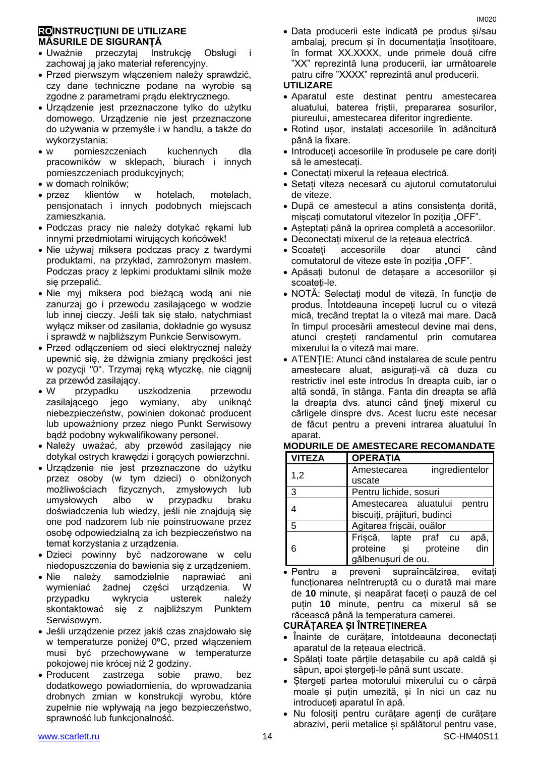#### **ROINSTRUCŢIUNI DE UTILIZARE MĂSURILE DE SIGURANȚĂ**

- Uważnie przeczytaj Instrukcję Obsługi i zachowaj ją jako materiał referencyjny.
- Przed pierwszym włączeniem należy sprawdzić, czy dane techniczne podane na wyrobie są zgodne z parametrami prądu elektrycznego.
- Urządzenie jest przeznaczone tylko do użytku domowego. Urządzenie nie jest przeznaczone do używania w przemyśle i w handlu, a także do wykorzystania:
- w pomieszczeniach kuchennych dla pracowników w sklepach, biurach i innych pomieszczeniach produkcyjnych;
- w domach rolników;
- przez klientów w hotelach, motelach, pensjonatach i innych podobnych miejscach zamieszkania.
- Podczas pracy nie należy dotykać rękami lub innymi przedmiotami wirujących końcówek!
- Nie używaj miksera podczas pracy z twardymi produktami, na przykład, zamrożonym masłem. Podczas pracy z lepkimi produktami silnik może się przepalić.
- Nie myj miksera pod bieżącą wodą ani nie zanurzaj go i przewodu zasilającego w wodzie lub innej cieczy. Jeśli tak się stało, natychmiast wyłącz mikser od zasilania, dokładnie go wysusz i sprawdź w najbliższym Punkcie Serwisowym.
- Przed odłączeniem od sieci elektrycznej należy upewnić się, że dźwignia zmiany prędkości jest w pozycji "0". Trzymaj ręką wtyczkę, nie ciągnij za przewód zasilający.
- W przypadku uszkodzenia przewodu zasilającego jego wymiany, aby uniknąć niebezpieczeństw, powinien dokonać producent lub upoważniony przez niego Punkt Serwisowy bądź podobny wykwalifikowany personel.
- Należy uważać, aby przewód zasilający nie dotykał ostrych krawędzi i gorących powierzchni.
- Urządzenie nie jest przeznaczone do użytku przez osoby (w tym dzieci) o obniżonych możliwościach fizycznych, zmysłowych lub umysłowych albo w przypadku braku doświadczenia lub wiedzy, jeśli nie znajdują się one pod nadzorem lub nie poinstruowane przez osobę odpowiedzialną za ich bezpieczeństwo na temat korzystania z urządzenia.
- Dzieci powinny być nadzorowane w celu niedopuszczenia do bawienia się z urządzeniem.
- Nie należy samodzielnie naprawiać ani wymieniać żadnej części urządzenia. W przypadku wykrycia usterek należy skontaktować się z najbliższym Punktem Serwisowym.
- Jeśli urządzenie przez jakiś czas znajdowało się w temperaturze poniżej 0ºC, przed włączeniem musi być przechowywane w temperaturze pokojowej nie krócej niż 2 godziny.
- Producent zastrzega sobie prawo, bez dodatkowego powiadomienia, do wprowadzania drobnych zmian w konstrukcji wyrobu, które zupełnie nie wpływają na jego bezpieczeństwo, sprawność lub funkcjonalność.
- [www.scarlett.ru](http://www.scarlett.ru/) 14 SC-HM40S11

 Data producerii este indicată pe produs și/sau ambalaj, precum și în documentația însoțitoare, în format XX.XXXX, unde primele două cifre "XX" reprezintă luna producerii, iar următoarele patru cifre "XXXX" reprezintă anul producerii.

#### **UTILIZARE**

- Aparatul este destinat pentru amestecarea aluatului, baterea friștii, prepararea sosurilor, piureului, amestecarea diferitor ingrediente.
- Rotind ușor, instalați accesoriile în adâncitură până la fixare.
- Introduceți accesoriile în produsele pe care doriți să le amestecați.
- Conectați mixerul la rețeaua electrică.
- Setați viteza necesară cu ajutorul comutatorului de viteze.
- După ce amestecul a atins consistența dorită, mișcați comutatorul vitezelor în poziția "OFF".
- Așteptați până la oprirea completă a accesoriilor.
- Deconectați mixerul de la rețeaua electrică.
- Scoateți accesoriile doar atunci când comutatorul de viteze este în poziția "OFF".
- Apăsați butonul de detașare a accesoriilor și scoateți-le.
- NOTĂ: Selectați modul de viteză, în funcție de produs. Întotdeauna începeți lucrul cu o viteză mică, trecând treptat la o viteză mai mare. Dacă în timpul procesării amestecul devine mai dens, atunci creșteți randamentul prin comutarea mixerului la o viteză mai mare.
- ATENȚIE: Atunci când instalarea de scule pentru amestecare aluat, asigurați-vă că duza cu restrictiv inel este introdus în dreapta cuib, iar o altă sondă, în stânga. Fanta din dreapta se află la dreapta dvs. atunci când ţineţi mixerul cu cârligele dinspre dvs. Acest lucru este necesar de făcut pentru a preveni intrarea aluatului în aparat.

| <b>VITEZA</b> | <b>OPERATIA</b>                      |
|---------------|--------------------------------------|
| 1,2           | ingredientelor<br>Amestecarea        |
|               | uscate                               |
| 3             | Pentru lichide, sosuri               |
| 4             | Amestecarea aluatului<br>pentru      |
|               | biscuiți, prăjituri, budinci         |
| 5             | Agitarea frișcăi, ouălor             |
|               | apă,<br>din<br>Frișcă, lapte praf cu |
| 6             | proteine și proteine                 |
|               | gălbenușuri de ou.                   |
|               |                                      |

**MODURILE DE AMESTECARE RECOMANDATE** 

 Pentru a preveni supraîncălzirea, evitați funcționarea neîntreruptă cu o durată mai mare de **10** minute, și neapărat faceți o pauză de cel puțin **10** minute, pentru ca mixerul să se răcească până la temperatura camerei.

#### **CURĂȚAREA ȘI ÎNTREȚINEREA**

- Înainte de curățare, întotdeauna deconectați aparatul de la rețeaua electrică.
- Spălați toate părțile detașabile cu apă caldă și săpun, apoi ștergeți-le până sunt uscate.
- Stergeți partea motorului mixerului cu o cârpă moale și puțin umezită, și în nici un caz nu introduceți aparatul în apă.
- Nu folosiți pentru curățare agenți de curățare abrazivi, perii metalice și spălătorul pentru vase,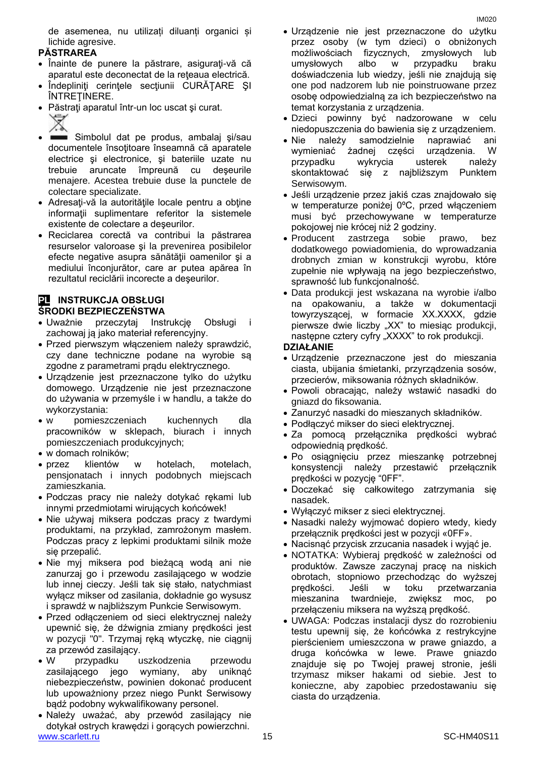de asemenea, nu utilizați diluanți organici și lichide agresive.

#### **PĂSTRAREA**

- Înainte de punere la păstrare, asiguraţi-vă că aparatul este deconectat de la reţeaua electrică.
- Îndepliniţi cerinţele secţiunii CURĂŢARE ŞI ÎNTREŢINERE.
- Păstraţi aparatul într-un loc uscat şi curat.
	-
- Simbolul dat pe produs, ambalaj şi/sau documentele însoţitoare înseamnă că aparatele electrice şi electronice, şi bateriile uzate nu trebuie aruncate împreună cu deşeurile menajere. Acestea trebuie duse la punctele de colectare specializate.
- Adresați-vă la autoritățile locale pentru a obține informaţii suplimentare referitor la sistemele existente de colectare a deşeurilor.
- Reciclarea corectă va contribui la păstrarea resurselor valoroase şi la prevenirea posibilelor efecte negative asupra sănătății oamenilor și a mediului înconjurător, care ar putea apărea în rezultatul reciclării incorecte a deşeurilor.

#### **PL INSTRUKCJA OBSŁUGI ŚRODKI BEZPIECZEŃSTWA**

- Uważnie przeczytaj Instrukcję Obsługi i zachowaj ją jako materiał referencyjny.
- Przed pierwszym włączeniem należy sprawdzić, czy dane techniczne podane na wyrobie są zgodne z parametrami prądu elektrycznego.
- Urządzenie jest przeznaczone tylko do użytku domowego. Urządzenie nie jest przeznaczone do używania w przemyśle i w handlu, a także do wykorzystania:
- w pomieszczeniach kuchennych dla pracowników w sklepach, biurach i innych pomieszczeniach produkcyjnych;
- w domach rolników;
- przez klientów w hotelach, motelach, pensjonatach i innych podobnych miejscach zamieszkania.
- Podczas pracy nie należy dotykać rękami lub innymi przedmiotami wirujących końcówek!
- Nie używaj miksera podczas pracy z twardymi produktami, na przykład, zamrożonym masłem. Podczas pracy z lepkimi produktami silnik może się przepalić.
- Nie myj miksera pod bieżącą wodą ani nie zanurzaj go i przewodu zasilającego w wodzie lub innej cieczy. Jeśli tak się stało, natychmiast wyłącz mikser od zasilania, dokładnie go wysusz i sprawdź w najbliższym Punkcie Serwisowym.
- Przed odłączeniem od sieci elektrycznej należy upewnić się, że dźwignia zmiany prędkości jest w pozycji "0". Trzymaj ręką wtyczkę, nie ciągnij za przewód zasilający.
- W przypadku uszkodzenia przewodu zasilającego jego wymiany, aby uniknąć niebezpieczeństw, powinien dokonać producent lub upoważniony przez niego Punkt Serwisowy bądź podobny wykwalifikowany personel.
- [www.scarlett.ru](http://www.scarlett.ru/) 15 November 2012 15 SC-HM40S11 Należy uważać, aby przewód zasilający nie dotykał ostrych krawędzi i gorących powierzchni.
- Urządzenie nie jest przeznaczone do użytku przez osoby (w tym dzieci) o obniżonych możliwościach fizycznych, zmysłowych lub umysłowych albo w przypadku braku doświadczenia lub wiedzy, jeśli nie znajdują się one pod nadzorem lub nie poinstruowane przez osobę odpowiedzialną za ich bezpieczeństwo na temat korzystania z urządzenia.
- Dzieci powinny być nadzorowane w celu niedopuszczenia do bawienia się z urządzeniem.
- Nie należy samodzielnie naprawiać ani wymieniać żadnej części urządzenia. W przypadku wykrycia usterek należy skontaktować się z najbliższym Punktem Serwisowym.
- Jeśli urządzenie przez jakiś czas znajdowało się w temperaturze poniżej 0ºC, przed włączeniem musi być przechowywane w temperaturze pokojowej nie krócej niż 2 godziny.
- Producent zastrzega sobie prawo, bez dodatkowego powiadomienia, do wprowadzania drobnych zmian w konstrukcji wyrobu, które zupełnie nie wpływają na jego bezpieczeństwo, sprawność lub funkcjonalność.
- Data produkcji jest wskazana na wyrobie i/albo na opakowaniu, a także w dokumentacji towyrzyszącej, w formacie XX.XXXX, gdzie pierwsze dwie liczby "XX" to miesiąc produkcji, następne cztery cyfry "XXXX" to rok produkcji.

#### **DZIAŁANIE**

- Urządzenie przeznaczone jest do mieszania ciasta, ubijania śmietanki, przyrządzenia sosów, przecierów, miksowania różnych składników.
- Powoli obracając, należy wstawić nasadki do gniazd do fiksowania.
- Zanurzyć nasadki do mieszanych składników.
- Podłączyć mikser do sieci elektrycznej.
- Za pomocą przełącznika prędkości wybrać odpowiednią prędkość.
- Po osiągnięciu przez mieszankę potrzebnej konsystencji należy przestawić przełącznik prędkości w pozycję "0FF".
- Doczekać się całkowitego zatrzymania się nasadek.
- Wyłączyć mikser z sieci elektrycznej.
- Nasadki należy wyjmować dopiero wtedy, kiedy przełącznik prędkości jest w pozycji «0FF».
- Nacisnąć przycisk zrzucania nasadek i wyjąć je.
- NOTATKA: Wybieraj prędkość w zależności od produktów. Zawsze zaczynaj pracę na niskich obrotach, stopniowo przechodząc do wyższej prędkości. Jeśli w toku przetwarzania mieszanina twardnieje, zwiększ moc, po przełączeniu miksera na wyższą prędkość.
- UWAGA: Podczas instalacji dysz do rozrobieniu testu upewnij się, że końcówka z restrykcyjne pierścieniem umieszczona w prawe gniazdo, a druga końcówka w lewe. Prawe gniazdo znajduje się po Twojej prawej stronie, jeśli trzymasz mikser hakami od siebie. Jest to konieczne, aby zapobiec przedostawaniu się ciasta do urządzenia.